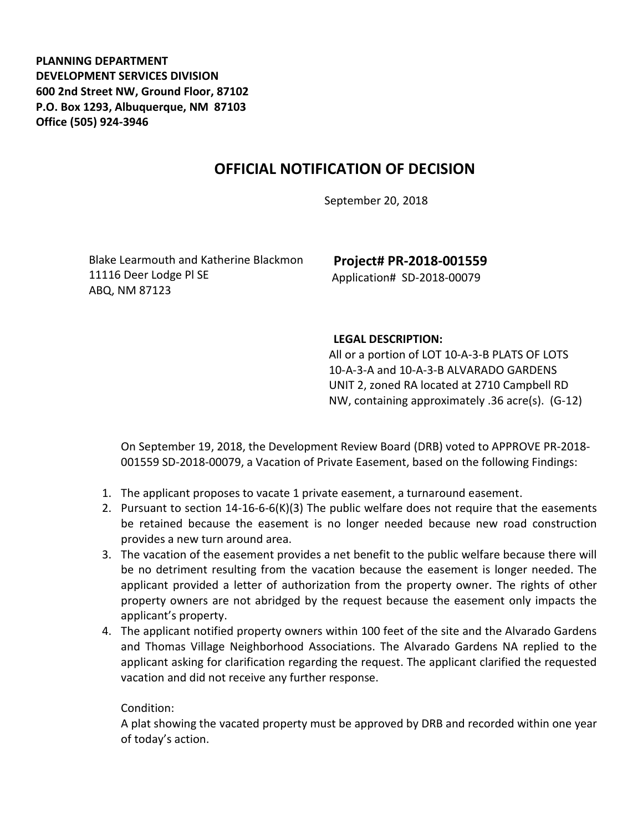**PLANNING DEPARTMENT DEVELOPMENT SERVICES DIVISION 600 2nd Street NW, Ground Floor, 87102 P.O. Box 1293, Albuquerque, NM 87103 Office (505) 924-3946** 

## **OFFICIAL NOTIFICATION OF DECISION**

September 20, 2018

Blake Learmouth and Katherine Blackmon 11116 Deer Lodge Pl SE ABQ, NM 87123

**Project# PR-2018-001559** Application# SD-2018-00079

## **LEGAL DESCRIPTION:**

All or a portion of LOT 10-A-3-B PLATS OF LOTS 10-A-3-A and 10-A-3-B ALVARADO GARDENS UNIT 2, zoned RA located at 2710 Campbell RD NW, containing approximately .36 acre(s). (G-12)

On September 19, 2018, the Development Review Board (DRB) voted to APPROVE PR-2018- 001559 SD-2018-00079, a Vacation of Private Easement, based on the following Findings:

- 1. The applicant proposes to vacate 1 private easement, a turnaround easement.
- 2. Pursuant to section 14-16-6-6(K)(3) The public welfare does not require that the easements be retained because the easement is no longer needed because new road construction provides a new turn around area.
- 3. The vacation of the easement provides a net benefit to the public welfare because there will be no detriment resulting from the vacation because the easement is longer needed. The applicant provided a letter of authorization from the property owner. The rights of other property owners are not abridged by the request because the easement only impacts the applicant's property.
- 4. The applicant notified property owners within 100 feet of the site and the Alvarado Gardens and Thomas Village Neighborhood Associations. The Alvarado Gardens NA replied to the applicant asking for clarification regarding the request. The applicant clarified the requested vacation and did not receive any further response.

## Condition:

A plat showing the vacated property must be approved by DRB and recorded within one year of today's action.